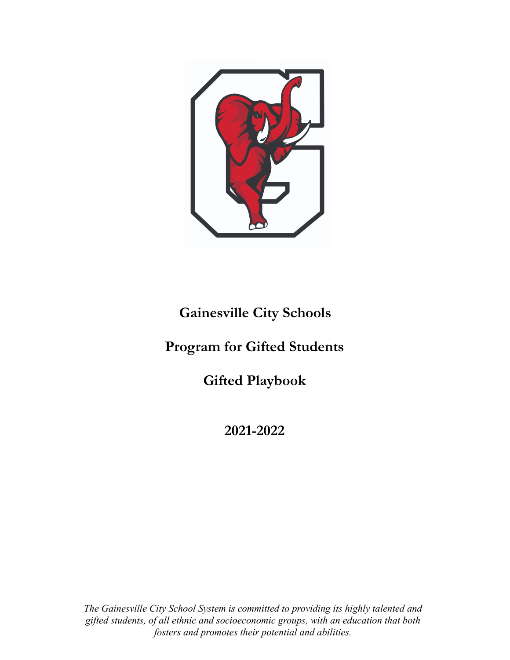

## **Gainesville City Schools**

## **Program for Gifted Students**

**Gifted Playbook**

**2021-2022**

*The Gainesville City School System is committed to providing its highly talented and gifted students, of all ethnic and socioeconomic groups, with an education that both fosters and promotes their potential and abilities.*